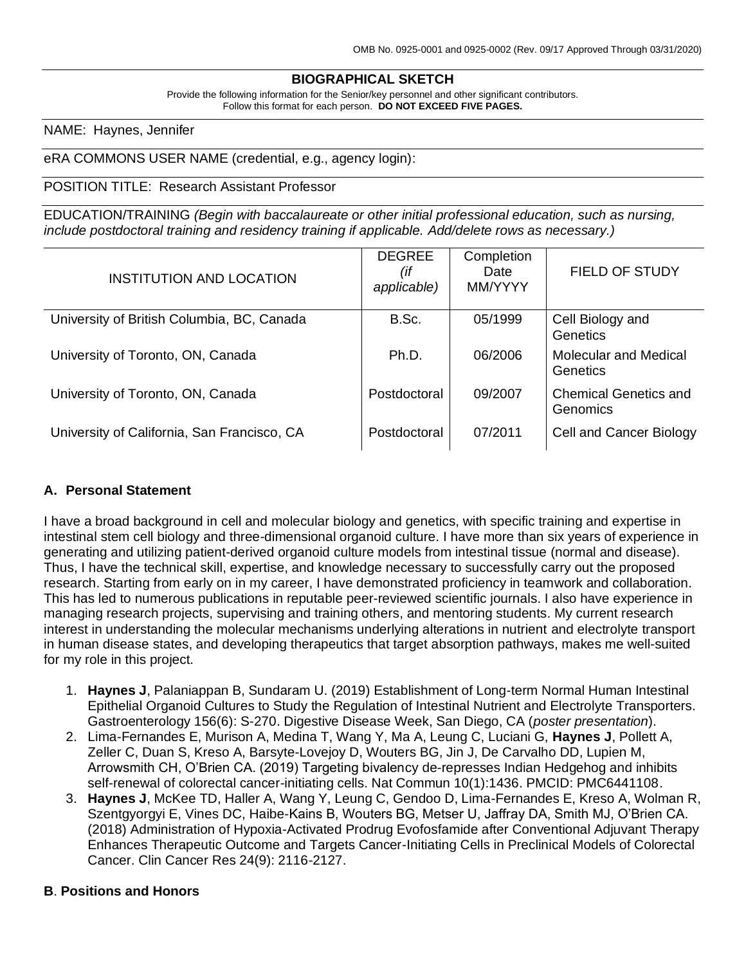## **BIOGRAPHICAL SKETCH**

Provide the following information for the Senior/key personnel and other significant contributors. Follow this format for each person. **DO NOT EXCEED FIVE PAGES.**

NAME: Haynes, Jennifer

### eRA COMMONS USER NAME (credential, e.g., agency login):

#### POSITION TITLE: Research Assistant Professor

EDUCATION/TRAINING *(Begin with baccalaureate or other initial professional education, such as nursing, include postdoctoral training and residency training if applicable. Add/delete rows as necessary.)*

| <b>INSTITUTION AND LOCATION</b>             | <b>DEGREE</b><br>(if<br>applicable) | Completion<br>Date<br>MM/YYYY | <b>FIELD OF STUDY</b>                    |
|---------------------------------------------|-------------------------------------|-------------------------------|------------------------------------------|
| University of British Columbia, BC, Canada  | B.Sc.                               | 05/1999                       | Cell Biology and<br><b>Genetics</b>      |
| University of Toronto, ON, Canada           | Ph.D.                               | 06/2006                       | Molecular and Medical<br>Genetics        |
| University of Toronto, ON, Canada           | Postdoctoral                        | 09/2007                       | <b>Chemical Genetics and</b><br>Genomics |
| University of California, San Francisco, CA | Postdoctoral                        | 07/2011                       | Cell and Cancer Biology                  |

### **A. Personal Statement**

I have a broad background in cell and molecular biology and genetics, with specific training and expertise in intestinal stem cell biology and three-dimensional organoid culture. I have more than six years of experience in generating and utilizing patient-derived organoid culture models from intestinal tissue (normal and disease). Thus, I have the technical skill, expertise, and knowledge necessary to successfully carry out the proposed research. Starting from early on in my career, I have demonstrated proficiency in teamwork and collaboration. This has led to numerous publications in reputable peer-reviewed scientific journals. I also have experience in managing research projects, supervising and training others, and mentoring students. My current research interest in understanding the molecular mechanisms underlying alterations in nutrient and electrolyte transport in human disease states, and developing therapeutics that target absorption pathways, makes me well-suited for my role in this project.

- 1. **Haynes J**, Palaniappan B, Sundaram U. (2019) Establishment of Long-term Normal Human Intestinal Epithelial Organoid Cultures to Study the Regulation of Intestinal Nutrient and Electrolyte Transporters. Gastroenterology 156(6): S-270. Digestive Disease Week, San Diego, CA (*poster presentation*).
- 2. Lima-Fernandes E, Murison A, Medina T, Wang Y, Ma A, Leung C, Luciani G, **Haynes J**, Pollett A, Zeller C, Duan S, Kreso A, Barsyte-Lovejoy D, Wouters BG, Jin J, De Carvalho DD, Lupien M, Arrowsmith CH, O'Brien CA. (2019) Targeting bivalency de-represses Indian Hedgehog and inhibits self-renewal of colorectal cancer-initiating cells. Nat Commun 10(1):1436. PMCID: PMC6441108.
- 3. **Haynes J**, McKee TD, Haller A, Wang Y, Leung C, Gendoo D, Lima-Fernandes E, Kreso A, Wolman R, Szentgyorgyi E, Vines DC, Haibe-Kains B, Wouters BG, Metser U, Jaffray DA, Smith MJ, O'Brien CA. (2018) Administration of Hypoxia-Activated Prodrug Evofosfamide after Conventional Adjuvant Therapy Enhances Therapeutic Outcome and Targets Cancer-Initiating Cells in Preclinical Models of Colorectal Cancer. Clin Cancer Res 24(9): 2116-2127.

#### **B**. **Positions and Honors**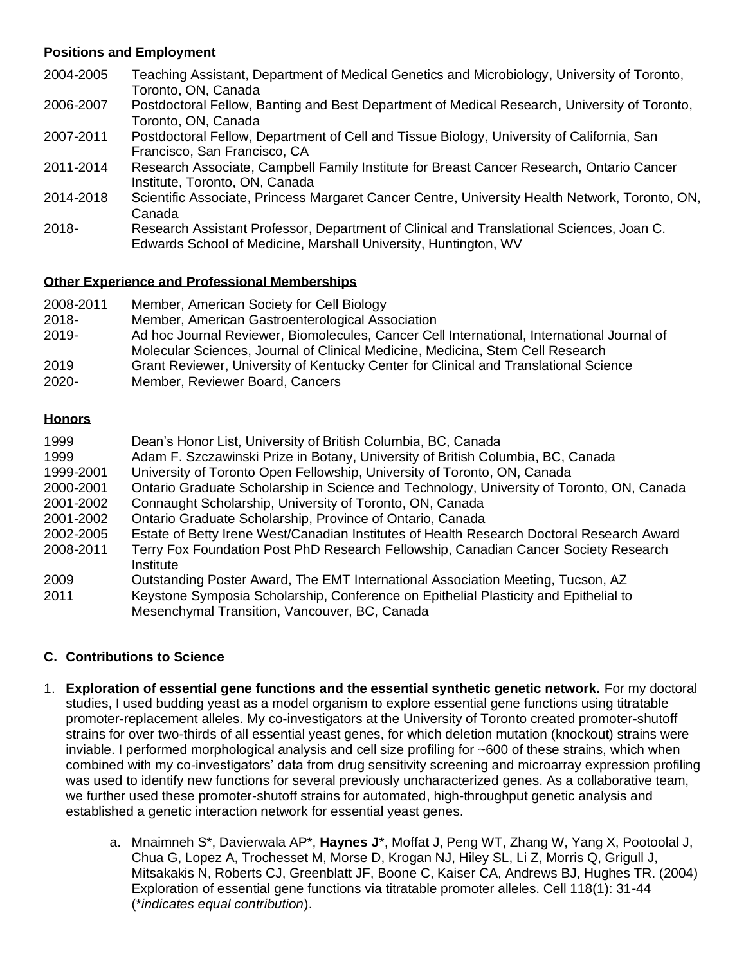### **Positions and Employment**

- 2004-2005 Teaching Assistant, Department of Medical Genetics and Microbiology, University of Toronto, Toronto, ON, Canada
- 2006-2007 Postdoctoral Fellow, Banting and Best Department of Medical Research, University of Toronto, Toronto, ON, Canada
- 2007-2011 Postdoctoral Fellow, Department of Cell and Tissue Biology, University of California, San Francisco, San Francisco, CA
- 2011-2014 Research Associate, Campbell Family Institute for Breast Cancer Research, Ontario Cancer Institute, Toronto, ON, Canada
- 2014-2018 Scientific Associate, Princess Margaret Cancer Centre, University Health Network, Toronto, ON, Canada
- 2018- Research Assistant Professor, Department of Clinical and Translational Sciences, Joan C. Edwards School of Medicine, Marshall University, Huntington, WV

## **Other Experience and Professional Memberships**

- 2008-2011 Member, American Society for Cell Biology
- 2018- Member, American Gastroenterological Association
- 2019- Ad hoc Journal Reviewer, Biomolecules, Cancer Cell International, International Journal of Molecular Sciences, Journal of Clinical Medicine, Medicina, Stem Cell Research
- 2019 Grant Reviewer, University of Kentucky Center for Clinical and Translational Science
- 2020- Member, Reviewer Board, Cancers

### **Honors**

| 1999      | Dean's Honor List, University of British Columbia, BC, Canada                             |
|-----------|-------------------------------------------------------------------------------------------|
| 1999      | Adam F. Szczawinski Prize in Botany, University of British Columbia, BC, Canada           |
| 1999-2001 | University of Toronto Open Fellowship, University of Toronto, ON, Canada                  |
| 2000-2001 | Ontario Graduate Scholarship in Science and Technology, University of Toronto, ON, Canada |
| 2001-2002 | Connaught Scholarship, University of Toronto, ON, Canada                                  |
| 2001-2002 | Ontario Graduate Scholarship, Province of Ontario, Canada                                 |
| 2002-2005 | Estate of Betty Irene West/Canadian Institutes of Health Research Doctoral Research Award |
| 2008-2011 | Terry Fox Foundation Post PhD Research Fellowship, Canadian Cancer Society Research       |
|           | Institute                                                                                 |
| 2009      | Outstanding Poster Award, The EMT International Association Meeting, Tucson, AZ           |
| 2011      | Keystone Symposia Scholarship, Conference on Epithelial Plasticity and Epithelial to      |
|           | Mesenchymal Transition, Vancouver, BC, Canada                                             |

# **C. Contributions to Science**

- 1. **Exploration of essential gene functions and the essential synthetic genetic network.** For my doctoral studies, I used budding yeast as a model organism to explore essential gene functions using titratable promoter-replacement alleles. My co-investigators at the University of Toronto created promoter-shutoff strains for over two-thirds of all essential yeast genes, for which deletion mutation (knockout) strains were inviable. I performed morphological analysis and cell size profiling for ~600 of these strains, which when combined with my co-investigators' data from drug sensitivity screening and microarray expression profiling was used to identify new functions for several previously uncharacterized genes. As a collaborative team, we further used these promoter-shutoff strains for automated, high-throughput genetic analysis and established a genetic interaction network for essential yeast genes.
	- a. Mnaimneh S\*, Davierwala AP\*, **Haynes J**\*, Moffat J, Peng WT, Zhang W, Yang X, Pootoolal J, Chua G, Lopez A, Trochesset M, Morse D, Krogan NJ, Hiley SL, Li Z, Morris Q, Grigull J, Mitsakakis N, Roberts CJ, Greenblatt JF, Boone C, Kaiser CA, Andrews BJ, Hughes TR. (2004) Exploration of essential gene functions via titratable promoter alleles. Cell 118(1): 31-44 (\**indicates equal contribution*).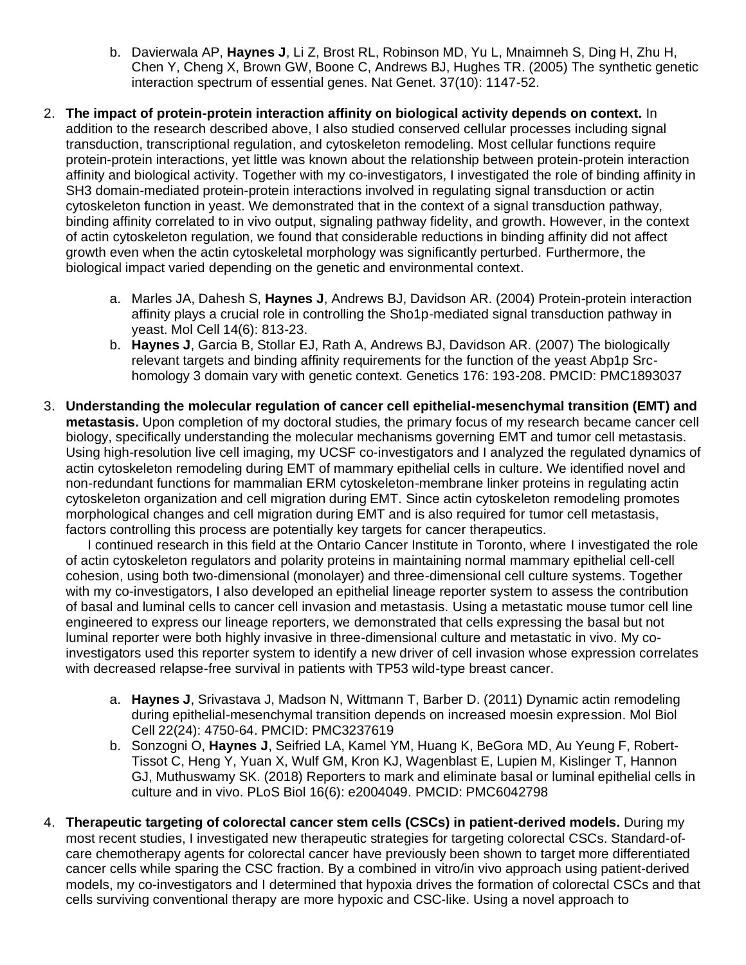- b. Davierwala AP, **Haynes J**, Li Z, Brost RL, Robinson MD, Yu L, Mnaimneh S, Ding H, Zhu H, Chen Y, Cheng X, Brown GW, Boone C, Andrews BJ, Hughes TR. (2005) The synthetic genetic interaction spectrum of essential genes. Nat Genet. 37(10): 1147-52.
- 2. **The impact of protein-protein interaction affinity on biological activity depends on context.** In addition to the research described above, I also studied conserved cellular processes including signal transduction, transcriptional regulation, and cytoskeleton remodeling. Most cellular functions require protein-protein interactions, yet little was known about the relationship between protein-protein interaction affinity and biological activity. Together with my co-investigators, I investigated the role of binding affinity in SH3 domain-mediated protein-protein interactions involved in regulating signal transduction or actin cytoskeleton function in yeast. We demonstrated that in the context of a signal transduction pathway, binding affinity correlated to in vivo output, signaling pathway fidelity, and growth. However, in the context of actin cytoskeleton regulation, we found that considerable reductions in binding affinity did not affect growth even when the actin cytoskeletal morphology was significantly perturbed. Furthermore, the biological impact varied depending on the genetic and environmental context.
	- a. Marles JA, Dahesh S, **Haynes J**, Andrews BJ, Davidson AR. (2004) Protein-protein interaction affinity plays a crucial role in controlling the Sho1p-mediated signal transduction pathway in yeast. Mol Cell 14(6): 813-23.
	- b. **Haynes J**, Garcia B, Stollar EJ, Rath A, Andrews BJ, Davidson AR. (2007) The biologically relevant targets and binding affinity requirements for the function of the yeast Abp1p Srchomology 3 domain vary with genetic context. Genetics 176: 193-208. PMCID: [PMC1893037](https://www.ncbi.nlm.nih.gov/pmc/articles/PMC1893037/)
- 3. **Understanding the molecular regulation of cancer cell epithelial-mesenchymal transition (EMT) and metastasis.** Upon completion of my doctoral studies, the primary focus of my research became cancer cell biology, specifically understanding the molecular mechanisms governing EMT and tumor cell metastasis. Using high-resolution live cell imaging, my UCSF co-investigators and I analyzed the regulated dynamics of actin cytoskeleton remodeling during EMT of mammary epithelial cells in culture. We identified novel and non-redundant functions for mammalian ERM cytoskeleton-membrane linker proteins in regulating actin cytoskeleton organization and cell migration during EMT. Since actin cytoskeleton remodeling promotes morphological changes and cell migration during EMT and is also required for tumor cell metastasis, factors controlling this process are potentially key targets for cancer therapeutics.

I continued research in this field at the Ontario Cancer Institute in Toronto, where I investigated the role of actin cytoskeleton regulators and polarity proteins in maintaining normal mammary epithelial cell-cell cohesion, using both two-dimensional (monolayer) and three-dimensional cell culture systems. Together with my co-investigators, I also developed an epithelial lineage reporter system to assess the contribution of basal and luminal cells to cancer cell invasion and metastasis. Using a metastatic mouse tumor cell line engineered to express our lineage reporters, we demonstrated that cells expressing the basal but not luminal reporter were both highly invasive in three-dimensional culture and metastatic in vivo. My coinvestigators used this reporter system to identify a new driver of cell invasion whose expression correlates with decreased relapse-free survival in patients with TP53 wild-type breast cancer.

- a. **Haynes J**, Srivastava J, Madson N, Wittmann T, Barber D. (2011) Dynamic actin remodeling during epithelial-mesenchymal transition depends on increased moesin expression. Mol Biol Cell 22(24): 4750-64. PMCID: [PMC3237619](https://www.ncbi.nlm.nih.gov/pmc/articles/PMC3237619/)
- b. Sonzogni O, **Haynes J**, Seifried LA, Kamel YM, Huang K, BeGora MD, Au Yeung F, Robert-Tissot C, Heng Y, Yuan X, Wulf GM, Kron KJ, Wagenblast E, Lupien M, Kislinger T, Hannon GJ, Muthuswamy SK. (2018) Reporters to mark and eliminate basal or luminal epithelial cells in culture and in vivo. PLoS Biol 16(6): e2004049. PMCID: [PMC6042798](https://www.ncbi.nlm.nih.gov/pmc/articles/PMC6042798/)
- 4. **Therapeutic targeting of colorectal cancer stem cells (CSCs) in patient-derived models.** During my most recent studies, I investigated new therapeutic strategies for targeting colorectal CSCs. Standard-ofcare chemotherapy agents for colorectal cancer have previously been shown to target more differentiated cancer cells while sparing the CSC fraction. By a combined in vitro/in vivo approach using patient-derived models, my co-investigators and I determined that hypoxia drives the formation of colorectal CSCs and that cells surviving conventional therapy are more hypoxic and CSC-like. Using a novel approach to